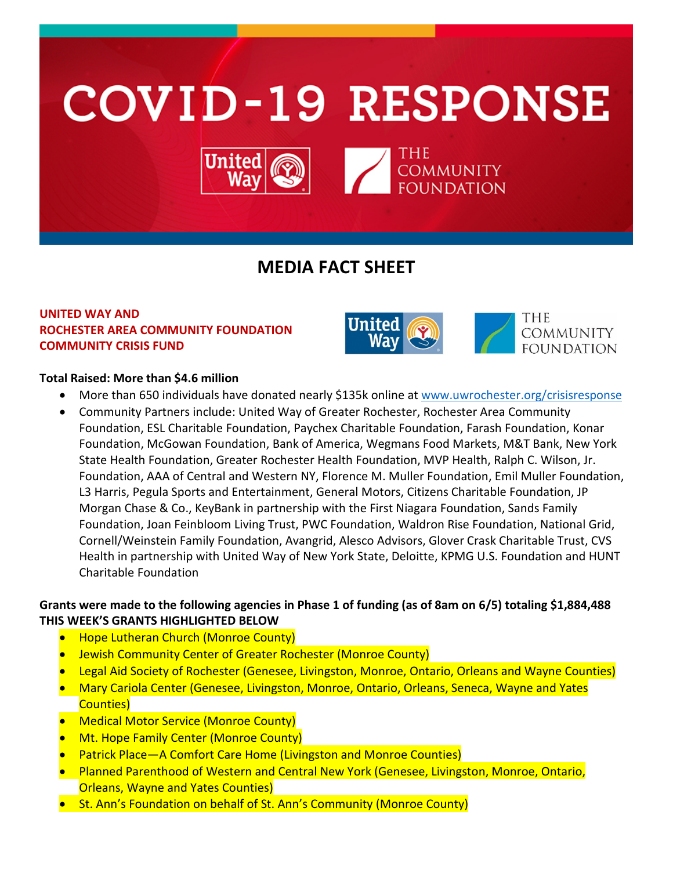

# **MEDIA FACT SHEET**

## **UNITED WAY AND ROCHESTER AREA COMMUNITY FOUNDATION COMMUNITY CRISIS FUND**



## **Total Raised: More than \$4.6 million**

- More than 650 individuals have donated nearly \$135k online at [www.uwrochester.org/crisisresponse](http://www.uwrochester.org/crisisresponse)
- Community Partners include: United Way of Greater Rochester, Rochester Area Community Foundation, ESL Charitable Foundation, Paychex Charitable Foundation, Farash Foundation, Konar Foundation, McGowan Foundation, Bank of America, Wegmans Food Markets, M&T Bank, New York State Health Foundation, Greater Rochester Health Foundation, MVP Health, Ralph C. Wilson, Jr. Foundation, AAA of Central and Western NY, Florence M. Muller Foundation, Emil Muller Foundation, L3 Harris, Pegula Sports and Entertainment, General Motors, Citizens Charitable Foundation, JP Morgan Chase & Co., KeyBank in partnership with the First Niagara Foundation, Sands Family Foundation, Joan Feinbloom Living Trust, PWC Foundation, Waldron Rise Foundation, National Grid, Cornell/Weinstein Family Foundation, Avangrid, Alesco Advisors, Glover Crask Charitable Trust, CVS Health in partnership with United Way of New York State, Deloitte, KPMG U.S. Foundation and HUNT Charitable Foundation

# **Grants were made to the following agencies in Phase 1 of funding (as of 8am on 6/5) totaling \$1,884,488 THIS WEEK'S GRANTS HIGHLIGHTED BELOW**

- Hope Lutheran Church (Monroe County)
- Jewish Community Center of Greater Rochester (Monroe County)
- Legal Aid Society of Rochester (Genesee, Livingston, Monroe, Ontario, Orleans and Wayne Counties)
- Mary Cariola Center (Genesee, Livingston, Monroe, Ontario, Orleans, Seneca, Wayne and Yates Counties)
- Medical Motor Service (Monroe County)
- Mt. Hope Family Center (Monroe County)
- Patrick Place—A Comfort Care Home (Livingston and Monroe Counties)
- Planned Parenthood of Western and Central New York (Genesee, Livingston, Monroe, Ontario, Orleans, Wayne and Yates Counties)
- St. Ann's Foundation on behalf of St. Ann's Community (Monroe County)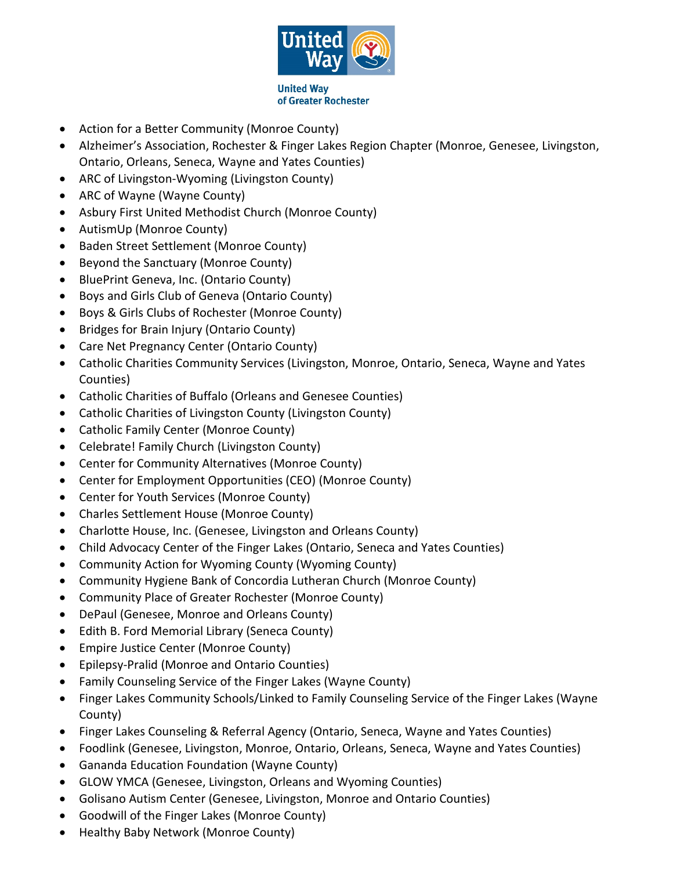

- Action for a Better Community (Monroe County)
- Alzheimer's Association, Rochester & Finger Lakes Region Chapter (Monroe, Genesee, Livingston, Ontario, Orleans, Seneca, Wayne and Yates Counties)
- ARC of Livingston-Wyoming (Livingston County)
- ARC of Wayne (Wayne County)
- Asbury First United Methodist Church (Monroe County)
- AutismUp (Monroe County)
- Baden Street Settlement (Monroe County)
- Beyond the Sanctuary (Monroe County)
- BluePrint Geneva, Inc. (Ontario County)
- Boys and Girls Club of Geneva (Ontario County)
- Boys & Girls Clubs of Rochester (Monroe County)
- Bridges for Brain Injury (Ontario County)
- Care Net Pregnancy Center (Ontario County)
- Catholic Charities Community Services (Livingston, Monroe, Ontario, Seneca, Wayne and Yates Counties)
- Catholic Charities of Buffalo (Orleans and Genesee Counties)
- Catholic Charities of Livingston County (Livingston County)
- Catholic Family Center (Monroe County)
- Celebrate! Family Church (Livingston County)
- Center for Community Alternatives (Monroe County)
- Center for Employment Opportunities (CEO) (Monroe County)
- Center for Youth Services (Monroe County)
- Charles Settlement House (Monroe County)
- Charlotte House, Inc. (Genesee, Livingston and Orleans County)
- Child Advocacy Center of the Finger Lakes (Ontario, Seneca and Yates Counties)
- Community Action for Wyoming County (Wyoming County)
- Community Hygiene Bank of Concordia Lutheran Church (Monroe County)
- Community Place of Greater Rochester (Monroe County)
- DePaul (Genesee, Monroe and Orleans County)
- Edith B. Ford Memorial Library (Seneca County)
- Empire Justice Center (Monroe County)
- Epilepsy-Pralid (Monroe and Ontario Counties)
- Family Counseling Service of the Finger Lakes (Wayne County)
- Finger Lakes Community Schools/Linked to Family Counseling Service of the Finger Lakes (Wayne County)
- Finger Lakes Counseling & Referral Agency (Ontario, Seneca, Wayne and Yates Counties)
- Foodlink (Genesee, Livingston, Monroe, Ontario, Orleans, Seneca, Wayne and Yates Counties)
- Gananda Education Foundation (Wayne County)
- GLOW YMCA (Genesee, Livingston, Orleans and Wyoming Counties)
- Golisano Autism Center (Genesee, Livingston, Monroe and Ontario Counties)
- Goodwill of the Finger Lakes (Monroe County)
- Healthy Baby Network (Monroe County)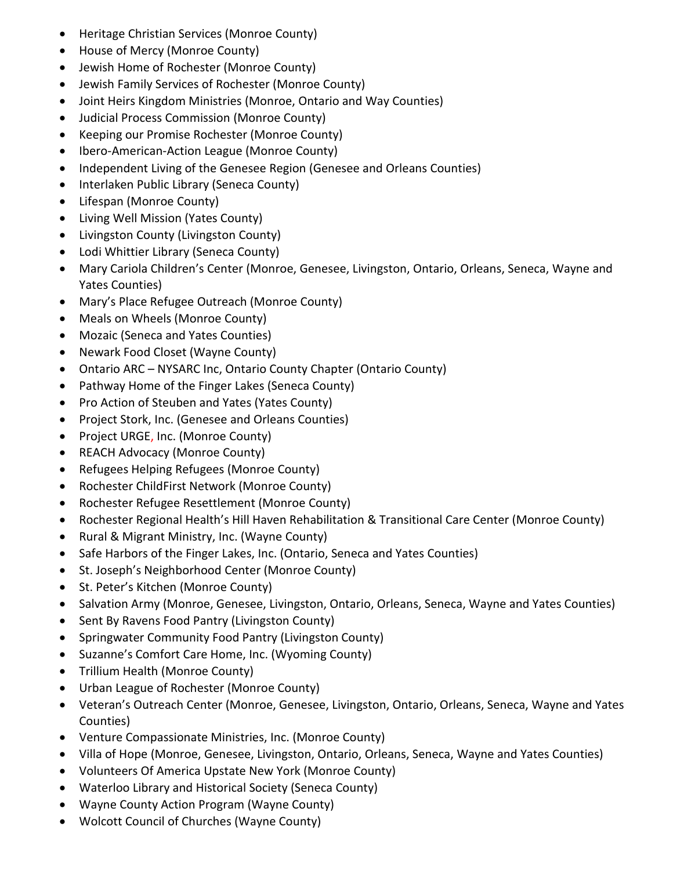- Heritage Christian Services (Monroe County)
- House of Mercy (Monroe County)
- Jewish Home of Rochester (Monroe County)
- Jewish Family Services of Rochester (Monroe County)
- Joint Heirs Kingdom Ministries (Monroe, Ontario and Way Counties)
- Judicial Process Commission (Monroe County)
- Keeping our Promise Rochester (Monroe County)
- Ibero-American-Action League (Monroe County)
- Independent Living of the Genesee Region (Genesee and Orleans Counties)
- Interlaken Public Library (Seneca County)
- Lifespan (Monroe County)
- Living Well Mission (Yates County)
- Livingston County (Livingston County)
- Lodi Whittier Library (Seneca County)
- Mary Cariola Children's Center (Monroe, Genesee, Livingston, Ontario, Orleans, Seneca, Wayne and Yates Counties)
- Mary's Place Refugee Outreach (Monroe County)
- Meals on Wheels (Monroe County)
- Mozaic (Seneca and Yates Counties)
- Newark Food Closet (Wayne County)
- Ontario ARC NYSARC Inc, Ontario County Chapter (Ontario County)
- Pathway Home of the Finger Lakes (Seneca County)
- Pro Action of Steuben and Yates (Yates County)
- Project Stork, Inc. (Genesee and Orleans Counties)
- Project URGE, Inc. (Monroe County)
- REACH Advocacy (Monroe County)
- Refugees Helping Refugees (Monroe County)
- Rochester ChildFirst Network (Monroe County)
- Rochester Refugee Resettlement (Monroe County)
- Rochester Regional Health's Hill Haven Rehabilitation & Transitional Care Center (Monroe County)
- Rural & Migrant Ministry, Inc. (Wayne County)
- Safe Harbors of the Finger Lakes, Inc. (Ontario, Seneca and Yates Counties)
- St. Joseph's Neighborhood Center (Monroe County)
- St. Peter's Kitchen (Monroe County)
- Salvation Army (Monroe, Genesee, Livingston, Ontario, Orleans, Seneca, Wayne and Yates Counties)
- Sent By Ravens Food Pantry (Livingston County)
- Springwater Community Food Pantry (Livingston County)
- Suzanne's Comfort Care Home, Inc. (Wyoming County)
- Trillium Health (Monroe County)
- Urban League of Rochester (Monroe County)
- Veteran's Outreach Center (Monroe, Genesee, Livingston, Ontario, Orleans, Seneca, Wayne and Yates Counties)
- Venture Compassionate Ministries, Inc. (Monroe County)
- Villa of Hope (Monroe, Genesee, Livingston, Ontario, Orleans, Seneca, Wayne and Yates Counties)
- Volunteers Of America Upstate New York (Monroe County)
- Waterloo Library and Historical Society (Seneca County)
- Wayne County Action Program (Wayne County)
- Wolcott Council of Churches (Wayne County)